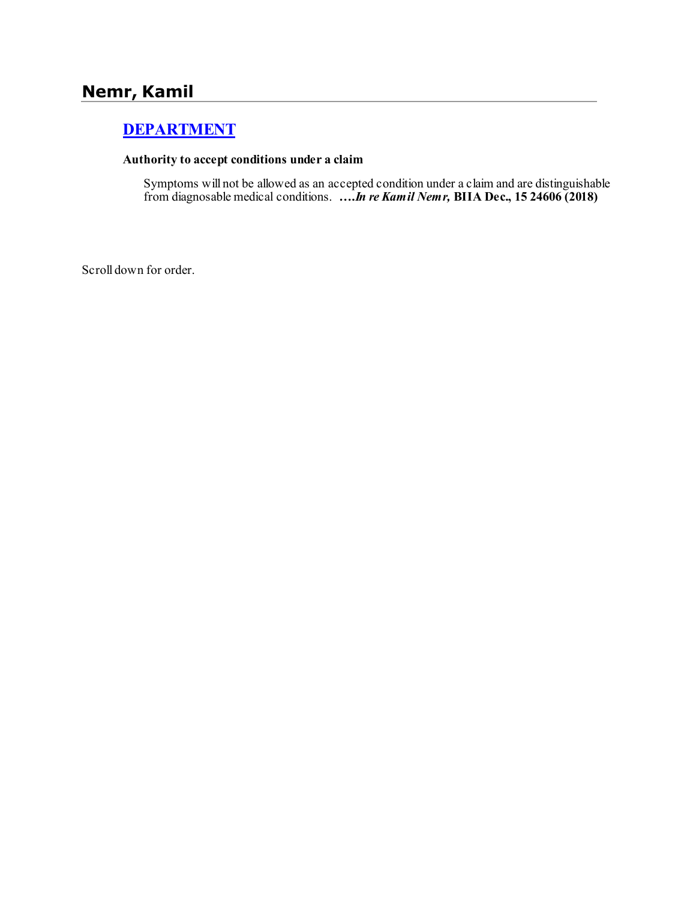# **Nemr, Kamil**

# **[DEPARTMENT](http://www.biia.wa.gov/SDSubjectIndex.html#DEPARTMENT)**

#### **Authority to accept conditions under a claim**

Symptoms will not be allowed as an accepted condition under a claim and are distinguishable from diagnosable medical conditions. **….***In re Kamil Nemr,* **BIIA Dec., 15 24606 (2018)**

Scroll down for order.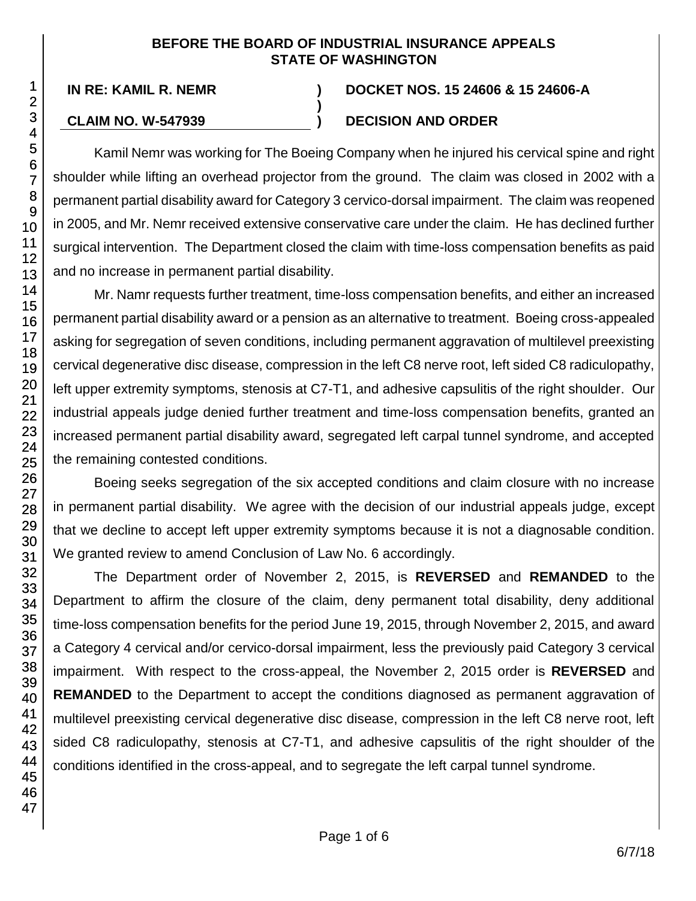### **BEFORE THE BOARD OF INDUSTRIAL INSURANCE APPEALS STATE OF WASHINGTON**

**)**

## **IN RE: KAMIL R. NEMR ) DOCKET NOS. 15 24606 & 15 24606-A**

## **CLAIM NO. W-547939 ) DECISION AND ORDER**

Kamil Nemr was working for The Boeing Company when he injured his cervical spine and right shoulder while lifting an overhead projector from the ground. The claim was closed in 2002 with a permanent partial disability award for Category 3 cervico-dorsal impairment. The claim was reopened in 2005, and Mr. Nemr received extensive conservative care under the claim. He has declined further surgical intervention. The Department closed the claim with time-loss compensation benefits as paid and no increase in permanent partial disability.

Mr. Namr requests further treatment, time-loss compensation benefits, and either an increased permanent partial disability award or a pension as an alternative to treatment. Boeing cross-appealed asking for segregation of seven conditions, including permanent aggravation of multilevel preexisting cervical degenerative disc disease, compression in the left C8 nerve root, left sided C8 radiculopathy, left upper extremity symptoms, stenosis at C7-T1, and adhesive capsulitis of the right shoulder. Our industrial appeals judge denied further treatment and time-loss compensation benefits, granted an increased permanent partial disability award, segregated left carpal tunnel syndrome, and accepted the remaining contested conditions.

Boeing seeks segregation of the six accepted conditions and claim closure with no increase in permanent partial disability. We agree with the decision of our industrial appeals judge, except that we decline to accept left upper extremity symptoms because it is not a diagnosable condition. We granted review to amend Conclusion of Law No. 6 accordingly.

The Department order of November 2, 2015, is **REVERSED** and **REMANDED** to the Department to affirm the closure of the claim, deny permanent total disability, deny additional time-loss compensation benefits for the period June 19, 2015, through November 2, 2015, and award a Category 4 cervical and/or cervico-dorsal impairment, less the previously paid Category 3 cervical impairment. With respect to the cross-appeal, the November 2, 2015 order is **REVERSED** and **REMANDED** to the Department to accept the conditions diagnosed as permanent aggravation of multilevel preexisting cervical degenerative disc disease, compression in the left C8 nerve root, left sided C8 radiculopathy, stenosis at C7-T1, and adhesive capsulitis of the right shoulder of the conditions identified in the cross-appeal, and to segregate the left carpal tunnel syndrome.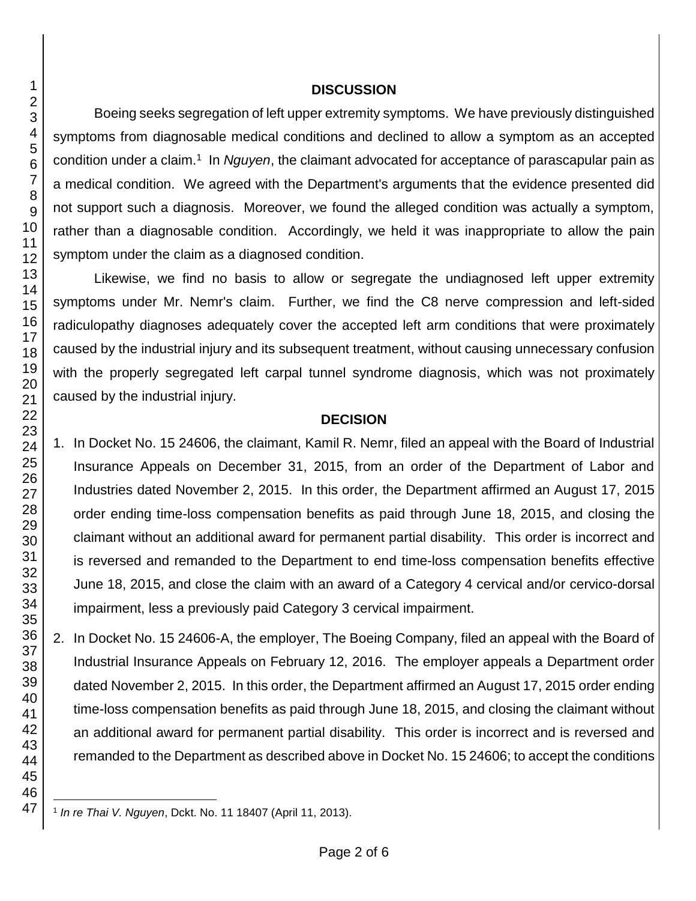#### **DISCUSSION**

Boeing seeks segregation of left upper extremity symptoms. We have previously distinguished symptoms from diagnosable medical conditions and declined to allow a symptom as an accepted condition under a claim.<sup>1</sup> In *Nguyen*, the claimant advocated for acceptance of parascapular pain as a medical condition. We agreed with the Department's arguments that the evidence presented did not support such a diagnosis. Moreover, we found the alleged condition was actually a symptom, rather than a diagnosable condition. Accordingly, we held it was inappropriate to allow the pain symptom under the claim as a diagnosed condition.

Likewise, we find no basis to allow or segregate the undiagnosed left upper extremity symptoms under Mr. Nemr's claim. Further, we find the C8 nerve compression and left-sided radiculopathy diagnoses adequately cover the accepted left arm conditions that were proximately caused by the industrial injury and its subsequent treatment, without causing unnecessary confusion with the properly segregated left carpal tunnel syndrome diagnosis, which was not proximately caused by the industrial injury.

### **DECISION**

1. In Docket No. 15 24606, the claimant, Kamil R. Nemr, filed an appeal with the Board of Industrial Insurance Appeals on December 31, 2015, from an order of the Department of Labor and Industries dated November 2, 2015. In this order, the Department affirmed an August 17, 2015 order ending time-loss compensation benefits as paid through June 18, 2015, and closing the claimant without an additional award for permanent partial disability. This order is incorrect and is reversed and remanded to the Department to end time-loss compensation benefits effective June 18, 2015, and close the claim with an award of a Category 4 cervical and/or cervico-dorsal impairment, less a previously paid Category 3 cervical impairment.

2. In Docket No. 15 24606-A, the employer, The Boeing Company, filed an appeal with the Board of Industrial Insurance Appeals on February 12, 2016. The employer appeals a Department order dated November 2, 2015. In this order, the Department affirmed an August 17, 2015 order ending time-loss compensation benefits as paid through June 18, 2015, and closing the claimant without an additional award for permanent partial disability. This order is incorrect and is reversed and remanded to the Department as described above in Docket No. 15 24606; to accept the conditions

l *In re Thai V. Nguyen*, Dckt. No. 11 18407 (April 11, 2013).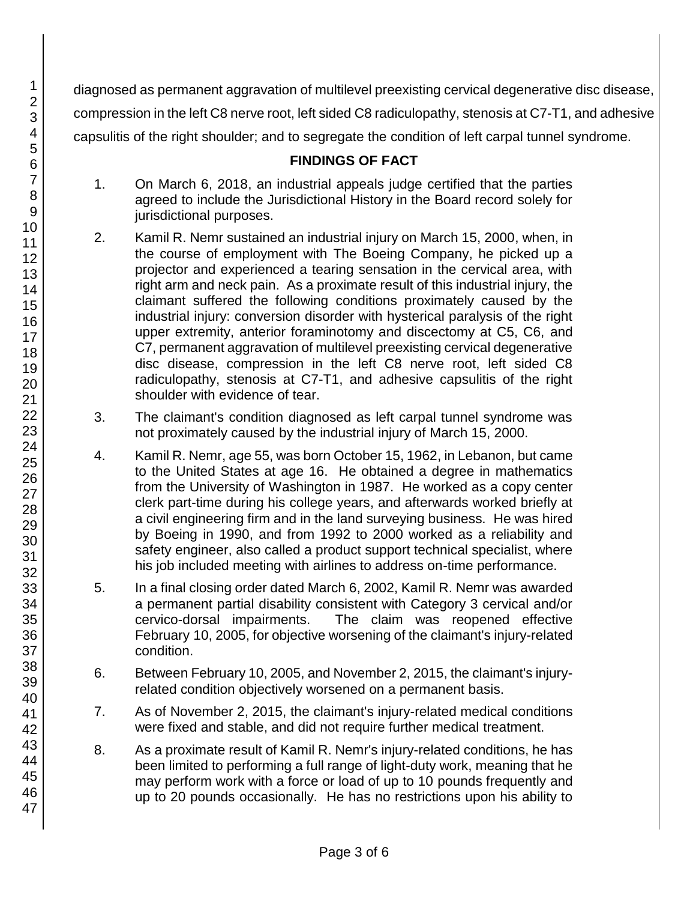diagnosed as permanent aggravation of multilevel preexisting cervical degenerative disc disease, compression in the left C8 nerve root, left sided C8 radiculopathy, stenosis at C7-T1, and adhesive capsulitis of the right shoulder; and to segregate the condition of left carpal tunnel syndrome.

## **FINDINGS OF FACT**

- 1. On March 6, 2018, an industrial appeals judge certified that the parties agreed to include the Jurisdictional History in the Board record solely for jurisdictional purposes.
- 2. Kamil R. Nemr sustained an industrial injury on March 15, 2000, when, in the course of employment with The Boeing Company, he picked up a projector and experienced a tearing sensation in the cervical area, with right arm and neck pain. As a proximate result of this industrial injury, the claimant suffered the following conditions proximately caused by the industrial injury: conversion disorder with hysterical paralysis of the right upper extremity, anterior foraminotomy and discectomy at C5, C6, and C7, permanent aggravation of multilevel preexisting cervical degenerative disc disease, compression in the left C8 nerve root, left sided C8 radiculopathy, stenosis at C7-T1, and adhesive capsulitis of the right shoulder with evidence of tear.
- 3. The claimant's condition diagnosed as left carpal tunnel syndrome was not proximately caused by the industrial injury of March 15, 2000.
- 4. Kamil R. Nemr, age 55, was born October 15, 1962, in Lebanon, but came to the United States at age 16. He obtained a degree in mathematics from the University of Washington in 1987. He worked as a copy center clerk part-time during his college years, and afterwards worked briefly at a civil engineering firm and in the land surveying business. He was hired by Boeing in 1990, and from 1992 to 2000 worked as a reliability and safety engineer, also called a product support technical specialist, where his job included meeting with airlines to address on-time performance.
- 5. In a final closing order dated March 6, 2002, Kamil R. Nemr was awarded a permanent partial disability consistent with Category 3 cervical and/or cervico-dorsal impairments. The claim was reopened effective February 10, 2005, for objective worsening of the claimant's injury-related condition.
- 6. Between February 10, 2005, and November 2, 2015, the claimant's injuryrelated condition objectively worsened on a permanent basis.
- 7. As of November 2, 2015, the claimant's injury-related medical conditions were fixed and stable, and did not require further medical treatment.
- 8. As a proximate result of Kamil R. Nemr's injury-related conditions, he has been limited to performing a full range of light-duty work, meaning that he may perform work with a force or load of up to 10 pounds frequently and up to 20 pounds occasionally. He has no restrictions upon his ability to

47

1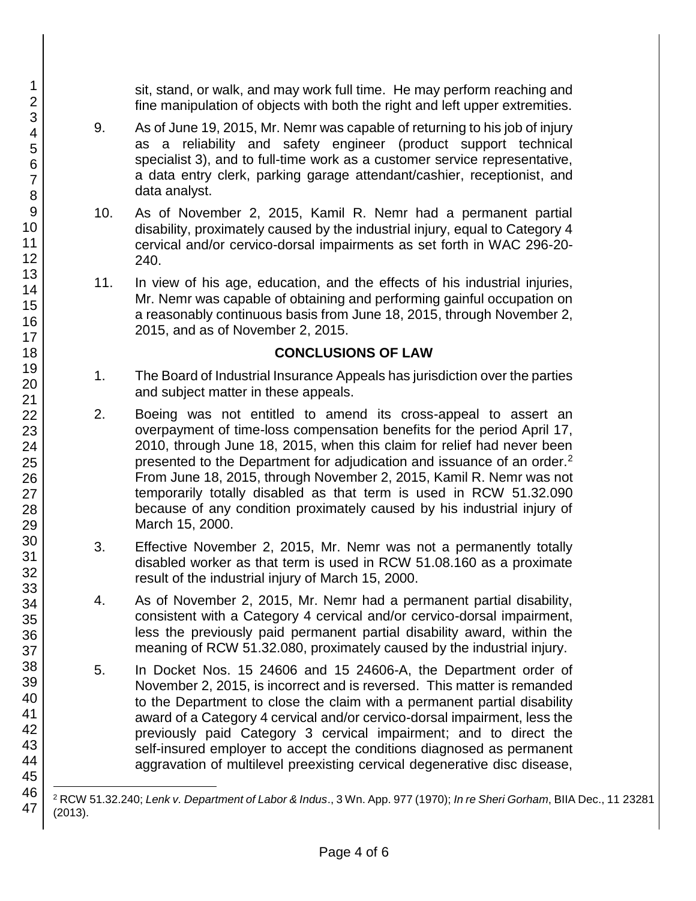sit, stand, or walk, and may work full time. He may perform reaching and fine manipulation of objects with both the right and left upper extremities.

- 9. As of June 19, 2015, Mr. Nemr was capable of returning to his job of injury as a reliability and safety engineer (product support technical specialist 3), and to full-time work as a customer service representative, a data entry clerk, parking garage attendant/cashier, receptionist, and data analyst.
- 10. As of November 2, 2015, Kamil R. Nemr had a permanent partial disability, proximately caused by the industrial injury, equal to Category 4 cervical and/or cervico-dorsal impairments as set forth in WAC 296-20- 240.
- 11. In view of his age, education, and the effects of his industrial injuries, Mr. Nemr was capable of obtaining and performing gainful occupation on a reasonably continuous basis from June 18, 2015, through November 2, 2015, and as of November 2, 2015.

## **CONCLUSIONS OF LAW**

- 1. The Board of Industrial Insurance Appeals has jurisdiction over the parties and subject matter in these appeals.
- 2. Boeing was not entitled to amend its cross-appeal to assert an overpayment of time-loss compensation benefits for the period April 17, 2010, through June 18, 2015, when this claim for relief had never been presented to the Department for adjudication and issuance of an order.<sup>2</sup> From June 18, 2015, through November 2, 2015, Kamil R. Nemr was not temporarily totally disabled as that term is used in RCW 51.32.090 because of any condition proximately caused by his industrial injury of March 15, 2000.
- 3. Effective November 2, 2015, Mr. Nemr was not a permanently totally disabled worker as that term is used in RCW 51.08.160 as a proximate result of the industrial injury of March 15, 2000.
- 4. As of November 2, 2015, Mr. Nemr had a permanent partial disability, consistent with a Category 4 cervical and/or cervico-dorsal impairment, less the previously paid permanent partial disability award, within the meaning of RCW 51.32.080, proximately caused by the industrial injury.
- 5. In Docket Nos. 15 24606 and 15 24606-A, the Department order of November 2, 2015, is incorrect and is reversed. This matter is remanded to the Department to close the claim with a permanent partial disability award of a Category 4 cervical and/or cervico-dorsal impairment, less the previously paid Category 3 cervical impairment; and to direct the self-insured employer to accept the conditions diagnosed as permanent aggravation of multilevel preexisting cervical degenerative disc disease,

l <sup>2</sup> RCW 51.32.240; *Lenk v. Department of Labor & Indus*., 3 Wn. App. 977 (1970); *In re Sheri Gorham*, BIIA Dec., 11 23281 (2013).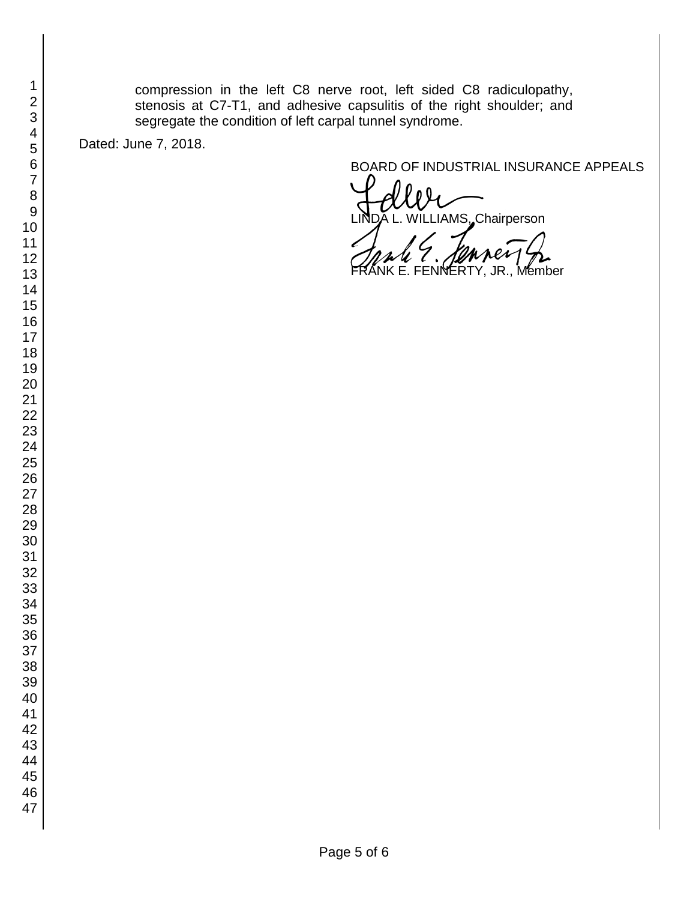compression in the left C8 nerve root, left sided C8 radiculopathy, stenosis at C7-T1, and adhesive capsulitis of the right shoulder; and segregate the condition of left carpal tunnel syndrome.

Dated: June 7, 2018.

BOARD OF INDUSTRIAL INSURANCE APPEALS<br>
UNDA L. WILLIAMS, Chairperson ILLIAMS, Chairperson

VNERTY, JR., Member